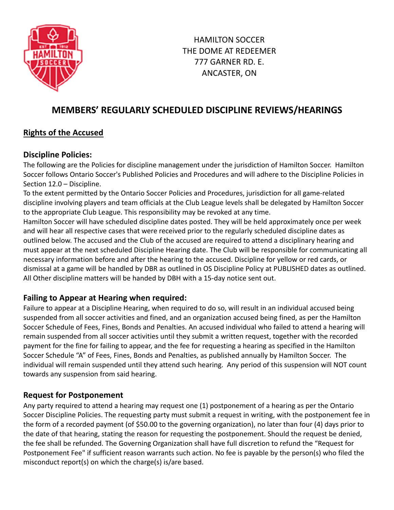

# **MEMBERS' REGULARLY SCHEDULED DISCIPLINE REVIEWS/HEARINGS**

## **Rights of the Accused**

#### **Discipline Policies:**

The following are the Policies for discipline management under the jurisdiction of Hamilton Soccer. Hamilton Soccer follows Ontario Soccer's Published Policies and Procedures and will adhere to the Discipline Policies in Section 12.0 – Discipline.

To the extent permitted by the Ontario Soccer Policies and Procedures, jurisdiction for all game-related discipline involving players and team officials at the Club League levels shall be delegated by Hamilton Soccer to the appropriate Club League. This responsibility may be revoked at any time.

Hamilton Soccer will have scheduled discipline dates posted. They will be held approximately once per week and will hear all respective cases that were received prior to the regularly scheduled discipline dates as outlined below. The accused and the Club of the accused are required to attend a disciplinary hearing and must appear at the next scheduled Discipline Hearing date. The Club will be responsible for communicating all necessary information before and after the hearing to the accused. Discipline for yellow or red cards, or dismissal at a game will be handled by DBR as outlined in OS Discipline Policy at PUBLISHED dates as outlined. All Other discipline matters will be handed by DBH with a 15-day notice sent out.

#### **Failing to Appear at Hearing when required:**

Failure to appear at a Discipline Hearing, when required to do so, will result in an individual accused being suspended from all soccer activities and fined, and an organization accused being fined, as per the Hamilton Soccer Schedule of Fees, Fines, Bonds and Penalties. An accused individual who failed to attend a hearing will remain suspended from all soccer activities until they submit a written request, together with the recorded payment for the fine for failing to appear, and the fee for requesting a hearing as specified in the Hamilton Soccer Schedule "A" of Fees, Fines, Bonds and Penalties, as published annually by Hamilton Soccer. The individual will remain suspended until they attend such hearing. Any period of this suspension will NOT count towards any suspension from said hearing.

#### **Request for Postponement**

Any party required to attend a hearing may request one (1) postponement of a hearing as per the Ontario Soccer Discipline Policies. The requesting party must submit a request in writing, with the postponement fee in the form of a recorded payment (of \$50.00 to the governing organization), no later than four (4) days prior to the date of that hearing, stating the reason for requesting the postponement. Should the request be denied, the fee shall be refunded. The Governing Organization shall have full discretion to refund the "Request for Postponement Fee" if sufficient reason warrants such action. No fee is payable by the person(s) who filed the misconduct report(s) on which the charge(s) is/are based.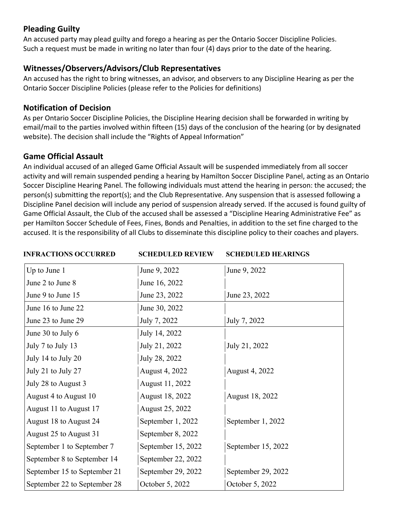### **Pleading Guilty**

An accused party may plead guilty and forego a hearing as per the Ontario Soccer Discipline Policies. Such a request must be made in writing no later than four (4) days prior to the date of the hearing.

#### **Witnesses/Observers/Advisors/Club Representatives**

An accused has the right to bring witnesses, an advisor, and observers to any Discipline Hearing as per the Ontario Soccer Discipline Policies (please refer to the Policies for definitions)

#### **Notification of Decision**

As per Ontario Soccer Discipline Policies, the Discipline Hearing decision shall be forwarded in writing by email/mail to the parties involved within fifteen (15) days of the conclusion of the hearing (or by designated website). The decision shall include the "Rights of Appeal Information"

#### **Game Official Assault**

An individual accused of an alleged Game Official Assault will be suspended immediately from all soccer activity and will remain suspended pending a hearing by Hamilton Soccer Discipline Panel, acting as an Ontario Soccer Discipline Hearing Panel. The following individuals must attend the hearing in person: the accused; the person(s) submitting the report(s); and the Club Representative. Any suspension that is assessed following a Discipline Panel decision will include any period of suspension already served. If the accused is found guilty of Game Official Assault, the Club of the accused shall be assessed a "Discipline Hearing Administrative Fee" as per Hamilton Soccer Schedule of Fees, Fines, Bonds and Penalties, in addition to the set fine charged to the accused. It is the responsibility of all Clubs to disseminate this discipline policy to their coaches and players.

**INFRACTIONS OCCURRED SCHEDULED REVIEW SCHEDULED HEARINGS**

| Up to June 1                 | June 9, 2022       | June 9, 2022       |
|------------------------------|--------------------|--------------------|
| June 2 to June 8             | June 16, 2022      |                    |
| June 9 to June 15            | June 23, 2022      | June 23, 2022      |
| June 16 to June 22           | June 30, 2022      |                    |
| June 23 to June 29           | July 7, 2022       | July 7, 2022       |
| June 30 to July 6            | July 14, 2022      |                    |
| July 7 to July 13            | July 21, 2022      | July 21, 2022      |
| July 14 to July 20           | July 28, 2022      |                    |
| July 21 to July 27           | August 4, 2022     | August 4, 2022     |
| July 28 to August 3          | August 11, 2022    |                    |
| August 4 to August 10        | August 18, 2022    | August 18, 2022    |
| August 11 to August 17       | August 25, 2022    |                    |
| August 18 to August 24       | September 1, 2022  | September 1, 2022  |
| August 25 to August 31       | September 8, 2022  |                    |
| September 1 to September 7   | September 15, 2022 | September 15, 2022 |
| September 8 to September 14  | September 22, 2022 |                    |
| September 15 to September 21 | September 29, 2022 | September 29, 2022 |
| September 22 to September 28 | October 5, 2022    | October 5, 2022    |